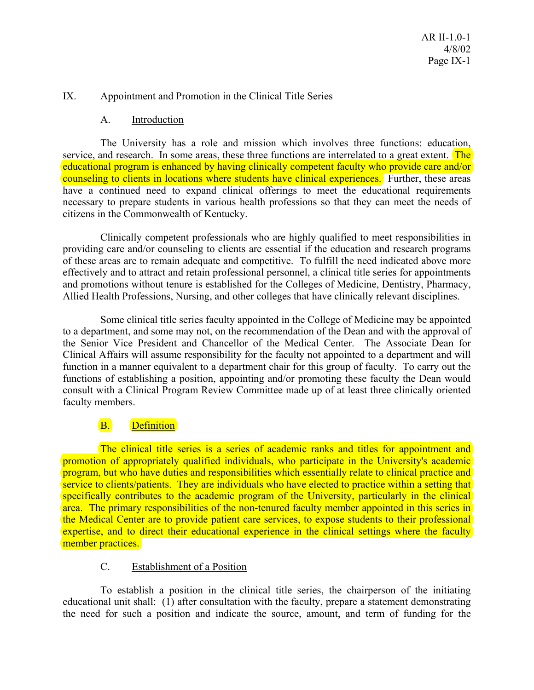### IX. Appointment and Promotion in the Clinical Title Series

### A. Introduction

 The University has a role and mission which involves three functions: education, service, and research. In some areas, these three functions are interrelated to a great extent. The educational program is enhanced by having clinically competent faculty who provide care and/or counseling to clients in locations where students have clinical experiences. Further, these areas have a continued need to expand clinical offerings to meet the educational requirements necessary to prepare students in various health professions so that they can meet the needs of citizens in the Commonwealth of Kentucky.

 Clinically competent professionals who are highly qualified to meet responsibilities in providing care and/or counseling to clients are essential if the education and research programs of these areas are to remain adequate and competitive. To fulfill the need indicated above more effectively and to attract and retain professional personnel, a clinical title series for appointments and promotions without tenure is established for the Colleges of Medicine, Dentistry, Pharmacy, Allied Health Professions, Nursing, and other colleges that have clinically relevant disciplines.

 Some clinical title series faculty appointed in the College of Medicine may be appointed to a department, and some may not, on the recommendation of the Dean and with the approval of the Senior Vice President and Chancellor of the Medical Center. The Associate Dean for Clinical Affairs will assume responsibility for the faculty not appointed to a department and will function in a manner equivalent to a department chair for this group of faculty. To carry out the functions of establishing a position, appointing and/or promoting these faculty the Dean would consult with a Clinical Program Review Committee made up of at least three clinically oriented faculty members.

# B. Definition

 The clinical title series is a series of academic ranks and titles for appointment and promotion of appropriately qualified individuals, who participate in the University's academic program, but who have duties and responsibilities which essentially relate to clinical practice and service to clients/patients. They are individuals who have elected to practice within a setting that specifically contributes to the academic program of the University, particularly in the clinical area. The primary responsibilities of the non-tenured faculty member appointed in this series in the Medical Center are to provide patient care services, to expose students to their professional expertise, and to direct their educational experience in the clinical settings where the faculty member practices.

#### C. Establishment of a Position

 To establish a position in the clinical title series, the chairperson of the initiating educational unit shall: (1) after consultation with the faculty, prepare a statement demonstrating the need for such a position and indicate the source, amount, and term of funding for the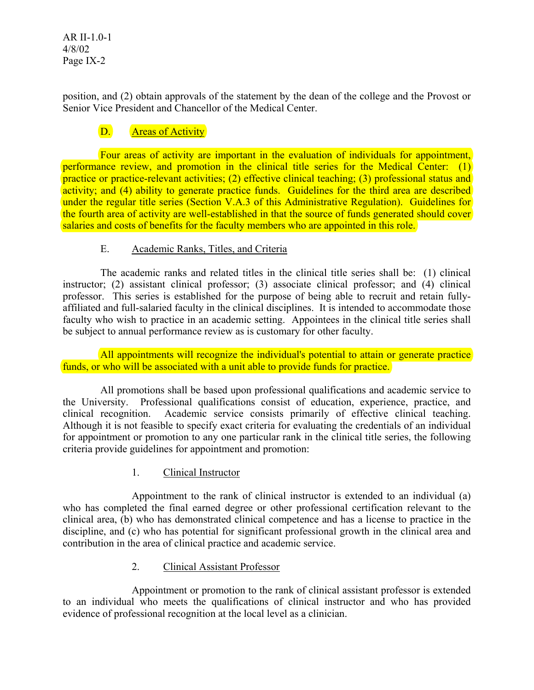AR II-1.0-1 4/8/02 Page IX-2

position, and (2) obtain approvals of the statement by the dean of the college and the Provost or Senior Vice President and Chancellor of the Medical Center.

# D. Areas of Activity

 Four areas of activity are important in the evaluation of individuals for appointment, performance review, and promotion in the clinical title series for the Medical Center: (1) practice or practice-relevant activities; (2) effective clinical teaching; (3) professional status and activity; and (4) ability to generate practice funds. Guidelines for the third area are described under the regular title series (Section V.A.3 of this Administrative Regulation). Guidelines for the fourth area of activity are well-established in that the source of funds generated should cover salaries and costs of benefits for the faculty members who are appointed in this role.

# E. Academic Ranks, Titles, and Criteria

 The academic ranks and related titles in the clinical title series shall be: (1) clinical instructor; (2) assistant clinical professor; (3) associate clinical professor; and (4) clinical professor. This series is established for the purpose of being able to recruit and retain fullyaffiliated and full-salaried faculty in the clinical disciplines. It is intended to accommodate those faculty who wish to practice in an academic setting. Appointees in the clinical title series shall be subject to annual performance review as is customary for other faculty.

All appointments will recognize the individual's potential to attain or generate practice funds, or who will be associated with a unit able to provide funds for practice.

 All promotions shall be based upon professional qualifications and academic service to the University. Professional qualifications consist of education, experience, practice, and clinical recognition. Academic service consists primarily of effective clinical teaching. Although it is not feasible to specify exact criteria for evaluating the credentials of an individual for appointment or promotion to any one particular rank in the clinical title series, the following criteria provide guidelines for appointment and promotion:

1. Clinical Instructor

 Appointment to the rank of clinical instructor is extended to an individual (a) who has completed the final earned degree or other professional certification relevant to the clinical area, (b) who has demonstrated clinical competence and has a license to practice in the discipline, and (c) who has potential for significant professional growth in the clinical area and contribution in the area of clinical practice and academic service.

# 2. Clinical Assistant Professor

 Appointment or promotion to the rank of clinical assistant professor is extended to an individual who meets the qualifications of clinical instructor and who has provided evidence of professional recognition at the local level as a clinician.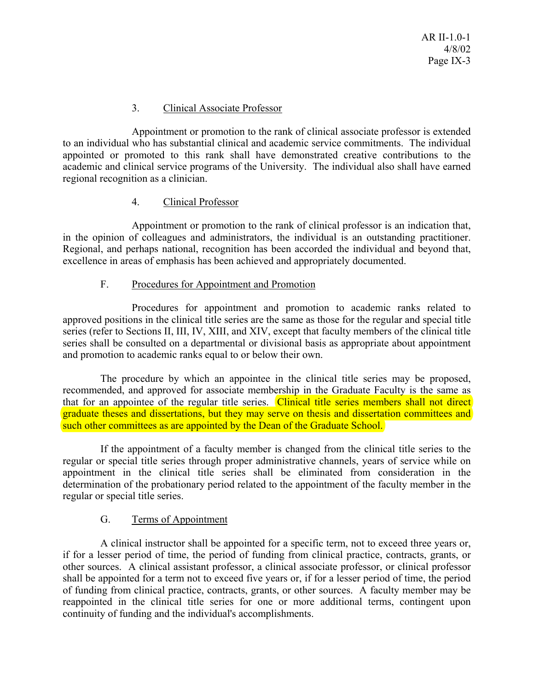# 3. Clinical Associate Professor

 Appointment or promotion to the rank of clinical associate professor is extended to an individual who has substantial clinical and academic service commitments. The individual appointed or promoted to this rank shall have demonstrated creative contributions to the academic and clinical service programs of the University. The individual also shall have earned regional recognition as a clinician.

### 4. Clinical Professor

 Appointment or promotion to the rank of clinical professor is an indication that, in the opinion of colleagues and administrators, the individual is an outstanding practitioner. Regional, and perhaps national, recognition has been accorded the individual and beyond that, excellence in areas of emphasis has been achieved and appropriately documented.

### F. Procedures for Appointment and Promotion

 Procedures for appointment and promotion to academic ranks related to approved positions in the clinical title series are the same as those for the regular and special title series (refer to Sections II, III, IV, XIII, and XIV, except that faculty members of the clinical title series shall be consulted on a departmental or divisional basis as appropriate about appointment and promotion to academic ranks equal to or below their own.

 The procedure by which an appointee in the clinical title series may be proposed, recommended, and approved for associate membership in the Graduate Faculty is the same as that for an appointee of the regular title series. Clinical title series members shall not direct graduate theses and dissertations, but they may serve on thesis and dissertation committees and such other committees as are appointed by the Dean of the Graduate School.

 If the appointment of a faculty member is changed from the clinical title series to the regular or special title series through proper administrative channels, years of service while on appointment in the clinical title series shall be eliminated from consideration in the determination of the probationary period related to the appointment of the faculty member in the regular or special title series.

# G. Terms of Appointment

 A clinical instructor shall be appointed for a specific term, not to exceed three years or, if for a lesser period of time, the period of funding from clinical practice, contracts, grants, or other sources. A clinical assistant professor, a clinical associate professor, or clinical professor shall be appointed for a term not to exceed five years or, if for a lesser period of time, the period of funding from clinical practice, contracts, grants, or other sources. A faculty member may be reappointed in the clinical title series for one or more additional terms, contingent upon continuity of funding and the individual's accomplishments.